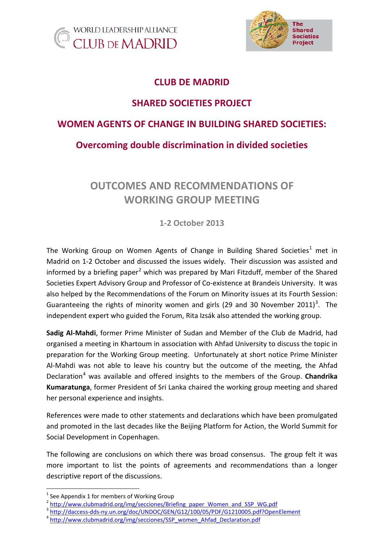



### **CLUB DE MADRID**

## **SHARED SOCIETIES PROJECT**

### **WOMEN AGENTS OF CHANGE IN BUILDING SHARED SOCIETIES:**

### **Overcoming double discrimination in divided societies**

# **OUTCOMES AND RECOMMENDATIONS OF WORKING GROUP MEETING**

**1-2 October 2013**

The Working Group on Women Agents of Change in Building Shared Societies<sup>[1](#page-0-0)</sup> met in Madrid on 1-2 October and discussed the issues widely. Their discussion was assisted and informed by a briefing paper<sup>[2](#page-0-1)</sup> which was prepared by Mari Fitzduff, member of the Shared Societies Expert Advisory Group and Professor of Co-existence at Brandeis University. It was also helped by the Recommendations of the Forum on Minority issues at its Fourth Session: Guaranteeing the rights of minority women and girls (29 and [3](#page-0-2)0 November 2011)<sup>3</sup>. The independent expert who guided the Forum, Rita Izsák also attended the working group.

**Sadig Al-Mahdi**, former Prime Minister of Sudan and Member of the Club de Madrid, had organised a meeting in Khartoum in association with Ahfad University to discuss the topic in preparation for the Working Group meeting. Unfortunately at short notice Prime Minister Al-Mahdi was not able to leave his country but the outcome of the meeting, the Ahfad Declaration[4](#page-0-3) was available and offered insights to the members of the Group. **Chandrika Kumaratunga**, former President of Sri Lanka chaired the working group meeting and shared her personal experience and insights.

References were made to other statements and declarations which have been promulgated and promoted in the last decades like the [Beijing Platform for Action,](http://www.un.org/womenwatch/daw/beijing/platform/index.html) the World Summit for Social Development in Copenhagen.

The following are conclusions on which there was broad consensus. The group felt it was more important to list the points of agreements and recommendations than a longer descriptive report of the discussions.

<span id="page-0-0"></span>

<sup>&</sup>lt;sup>1</sup> See Appendix 1 for members of Working Group  $2$  [http://www.clubmadrid.org/img/secciones/Briefing\\_paper\\_Women\\_and\\_SSP\\_WG.pdf](http://www.clubmadrid.org/img/secciones/Briefing_paper_Women_and_SSP_WG.pdf)

<span id="page-0-3"></span><span id="page-0-2"></span><span id="page-0-1"></span><sup>&</sup>lt;sup>3</sup> <http://daccess-dds-ny.un.org/doc/UNDOC/GEN/G12/100/05/PDF/G1210005.pdf?OpenElement><br><sup>4</sup> [http://www.clubmadrid.org/img/secciones/SSP\\_women\\_Ahfad\\_Declaration.pdf](http://www.clubmadrid.org/img/secciones/SSP_women_Ahfad_Declaration.pdf)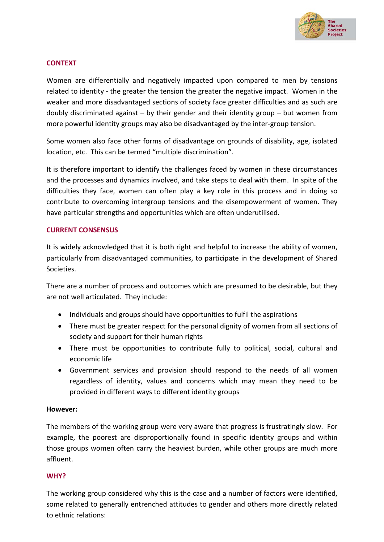

#### **CONTEXT**

Women are differentially and negatively impacted upon compared to men by tensions related to identity - the greater the tension the greater the negative impact. Women in the weaker and more disadvantaged sections of society face greater difficulties and as such are doubly discriminated against  $-$  by their gender and their identity group  $-$  but women from more powerful identity groups may also be disadvantaged by the inter-group tension.

Some women also face other forms of disadvantage on grounds of disability, age, isolated location, etc. This can be termed "multiple discrimination".

It is therefore important to identify the challenges faced by women in these circumstances and the processes and dynamics involved, and take steps to deal with them. In spite of the difficulties they face, women can often play a key role in this process and in doing so contribute to overcoming intergroup tensions and the disempowerment of women. They have particular strengths and opportunities which are often underutilised.

#### **CURRENT CONSENSUS**

It is widely acknowledged that it is both right and helpful to increase the ability of women, particularly from disadvantaged communities, to participate in the development of Shared Societies.

There are a number of process and outcomes which are presumed to be desirable, but they are not well articulated. They include:

- Individuals and groups should have opportunities to fulfil the aspirations
- There must be greater respect for the personal dignity of women from all sections of society and support for their human rights
- There must be opportunities to contribute fully to political, social, cultural and economic life
- Government services and provision should respond to the needs of all women regardless of identity, values and concerns which may mean they need to be provided in different ways to different identity groups

#### **However:**

The members of the working group were very aware that progress is frustratingly slow. For example, the poorest are disproportionally found in specific identity groups and within those groups women often carry the heaviest burden, while other groups are much more affluent.

#### **WHY?**

The working group considered why this is the case and a number of factors were identified, some related to generally entrenched attitudes to gender and others more directly related to ethnic relations: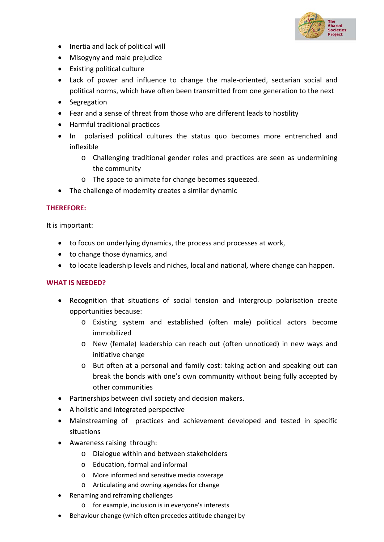

- Inertia and lack of political will
- Misogyny and male prejudice
- Existing political culture
- Lack of power and influence to change the male-oriented, sectarian social and political norms, which have often been transmitted from one generation to the next
- Segregation
- Fear and a sense of threat from those who are different leads to hostility
- Harmful traditional practices
- In polarised political cultures the status quo becomes more entrenched and inflexible
	- o Challenging traditional gender roles and practices are seen as undermining the community
	- o The space to animate for change becomes squeezed.
- The challenge of modernity creates a similar dynamic

#### **THEREFORE:**

It is important:

- to focus on underlying dynamics, the process and processes at work,
- to change those dynamics, and
- to locate leadership levels and niches, local and national, where change can happen.

#### **WHAT IS NEEDED?**

- Recognition that situations of social tension and intergroup polarisation create opportunities because:
	- o Existing system and established (often male) political actors become immobilized
	- o New (female) leadership can reach out (often unnoticed) in new ways and initiative change
	- o But often at a personal and family cost: taking action and speaking out can break the bonds with one's own community without being fully accepted by other communities
- Partnerships between civil society and decision makers.
- A holistic and integrated perspective
- Mainstreaming of practices and achievement developed and tested in specific situations
- Awareness raising through:
	- o Dialogue within and between stakeholders
	- o Education, formal and informal
	- o More informed and sensitive media coverage
	- o Articulating and owning agendas for change
- Renaming and reframing challenges
	- o for example, inclusion is in everyone's interests
- Behaviour change (which often precedes attitude change) by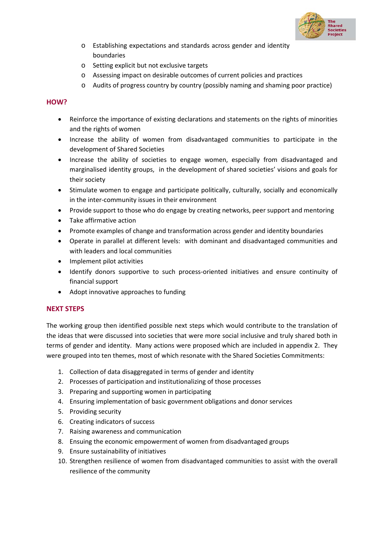

- o Establishing expectations and standards across gender and identity boundaries
- o Setting explicit but not exclusive targets
- o Assessing impact on desirable outcomes of current policies and practices
- o Audits of progress country by country (possibly naming and shaming poor practice)

#### **HOW?**

- Reinforce the importance of existing declarations and statements on the rights of minorities and the rights of women
- Increase the ability of women from disadvantaged communities to participate in the development of Shared Societies
- Increase the ability of societies to engage women, especially from disadvantaged and marginalised identity groups, in the development of shared societies' visions and goals for their society
- Stimulate women to engage and participate politically, culturally, socially and economically in the inter-community issues in their environment
- Provide support to those who do engage by creating networks, peer support and mentoring
- Take affirmative action
- Promote examples of change and transformation across gender and identity boundaries
- Operate in parallel at different levels: with dominant and disadvantaged communities and with leaders and local communities
- Implement pilot activities
- Identify donors supportive to such process-oriented initiatives and ensure continuity of financial support
- Adopt innovative approaches to funding

#### **NEXT STEPS**

The working group then identified possible next steps which would contribute to the translation of the ideas that were discussed into societies that were more social inclusive and truly shared both in terms of gender and identity. Many actions were proposed which are included in appendix 2. They were grouped into ten themes, most of which resonate with the Shared Societies Commitments:

- 1. Collection of data disaggregated in terms of gender and identity
- 2. Processes of participation and institutionalizing of those processes
- 3. Preparing and supporting women in participating
- 4. Ensuring implementation of basic government obligations and donor services
- 5. Providing security
- 6. Creating indicators of success
- 7. Raising awareness and communication
- 8. Ensuing the economic empowerment of women from disadvantaged groups
- 9. Ensure sustainability of initiatives
- 10. Strengthen resilience of women from disadvantaged communities to assist with the overall resilience of the community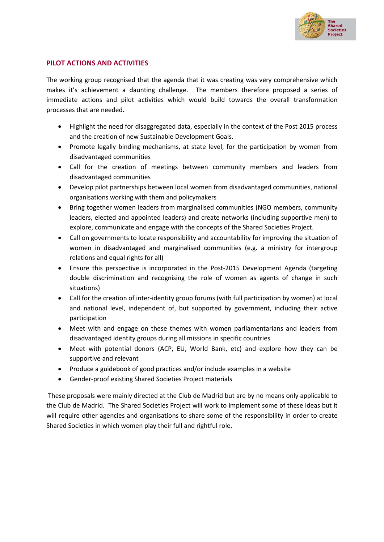

#### **PILOT ACTIONS AND ACTIVITIES**

The working group recognised that the agenda that it was creating was very comprehensive which makes it's achievement a daunting challenge. The members therefore proposed a series of immediate actions and pilot activities which would build towards the overall transformation processes that are needed.

- Highlight the need for disaggregated data, especially in the context of the Post 2015 process and the creation of new Sustainable Development Goals.
- Promote legally binding mechanisms, at state level, for the participation by women from disadvantaged communities
- Call for the creation of meetings between community members and leaders from disadvantaged communities
- Develop pilot partnerships between local women from disadvantaged communities, national organisations working with them and policymakers
- Bring together women leaders from marginalised communities (NGO members, community leaders, elected and appointed leaders) and create networks (including supportive men) to explore, communicate and engage with the concepts of the Shared Societies Project.
- Call on governments to locate responsibility and accountability for improving the situation of women in disadvantaged and marginalised communities (e.g. a ministry for intergroup relations and equal rights for all)
- Ensure this perspective is incorporated in the Post-2015 Development Agenda (targeting double discrimination and recognising the role of women as agents of change in such situations)
- Call for the creation of inter-identity group forums (with full participation by women) at local and national level, independent of, but supported by government, including their active participation
- Meet with and engage on these themes with women parliamentarians and leaders from disadvantaged identity groups during all missions in specific countries
- Meet with potential donors (ACP, EU, World Bank, etc) and explore how they can be supportive and relevant
- Produce a guidebook of good practices and/or include examples in a website
- Gender-proof existing Shared Societies Project materials

These proposals were mainly directed at the Club de Madrid but are by no means only applicable to the Club de Madrid. The Shared Societies Project will work to implement some of these ideas but it will require other agencies and organisations to share some of the responsibility in order to create Shared Societies in which women play their full and rightful role.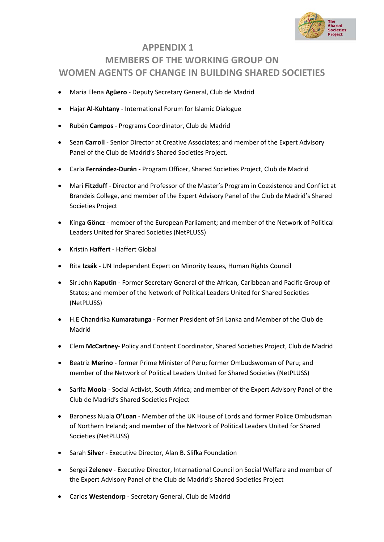

## **APPENDIX 1 MEMBERS OF THE WORKING GROUP ON WOMEN AGENTS OF CHANGE IN BUILDING SHARED SOCIETIES**

- Maria Elena **Agüero** Deputy Secretary General, Club de Madrid
- Hajar **Al-Kuhtany** International Forum for Islamic Dialogue
- Rubén **Campos** Programs Coordinator, Club de Madrid
- Sean **Carroll**  Senior Director at Creative Associates; and member of the Expert Advisory Panel of the Club de Madrid's Shared Societies Project.
- Carla **Fernández-Durán -** Program Officer, Shared Societies Project, Club de Madrid
- Mari **Fitzduff**  Director and Professor of the Master's Program in Coexistence and Conflict at Brandeis College, and member of the Expert Advisory Panel of the Club de Madrid's Shared Societies Project
- Kinga **Göncz** member of the European Parliament; and member of the Network of Political Leaders United for Shared Societies (NetPLUSS)
- Kristin **Haffert**  Haffert Global
- Rita **Izsák** UN Independent Expert on Minority Issues, Human Rights Council
- Sir John **Kaputin** Former Secretary General of the African, Caribbean and Pacific Group of States; and member of the Network of Political Leaders United for Shared Societies (NetPLUSS)
- H.E Chandrika **Kumaratunga** Former President of Sri Lanka and Member of the Club de Madrid
- Clem **McCartney** Policy and Content Coordinator, Shared Societies Project, Club de Madrid
- Beatriz **Merino** former Prime Minister of Peru; former Ombudswoman of Peru; and member of the Network of Political Leaders United for Shared Societies (NetPLUSS)
- Sarifa **Moola** Social Activist, South Africa; and member of the Expert Advisory Panel of the Club de Madrid's Shared Societies Project
- Baroness Nuala **O'Loan** Member of the UK House of Lords and former Police Ombudsman of Northern Ireland; and member of the Network of Political Leaders United for Shared Societies (NetPLUSS)
- Sarah **Silver** Executive Director, Alan B. Slifka Foundation
- Sergei **Zelenev** Executive Director, International Council on Social Welfare and member of the Expert Advisory Panel of the Club de Madrid's Shared Societies Project
- Carlos **Westendorp** Secretary General, Club de Madrid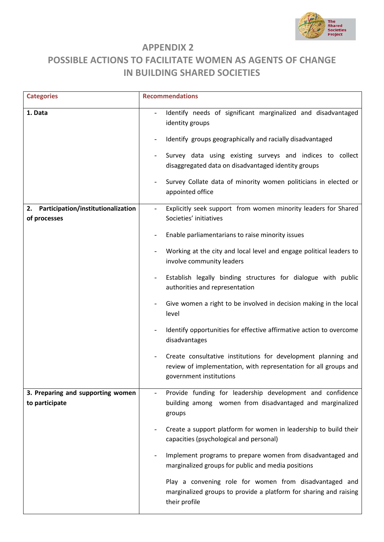

### **APPENDIX 2**

# **POSSIBLE ACTIONS TO FACILITATE WOMEN AS AGENTS OF CHANGE IN BUILDING SHARED SOCIETIES**

| <b>Categories</b>                                                   | <b>Recommendations</b>                                                                                                                                                                                                                                                                                                                                                                                                                                                                                                                                                                                                                                                                                                                                                                                                                                                               |
|---------------------------------------------------------------------|--------------------------------------------------------------------------------------------------------------------------------------------------------------------------------------------------------------------------------------------------------------------------------------------------------------------------------------------------------------------------------------------------------------------------------------------------------------------------------------------------------------------------------------------------------------------------------------------------------------------------------------------------------------------------------------------------------------------------------------------------------------------------------------------------------------------------------------------------------------------------------------|
| 1. Data<br>Participation/institutionalization<br>2.<br>of processes | Identify needs of significant marginalized and disadvantaged<br>identity groups<br>Identify groups geographically and racially disadvantaged<br>Survey data using existing surveys and indices to collect<br>disaggregated data on disadvantaged identity groups<br>Survey Collate data of minority women politicians in elected or<br>appointed office<br>Explicitly seek support from women minority leaders for Shared<br>Societies' initiatives<br>Enable parliamentarians to raise minority issues<br>Working at the city and local level and engage political leaders to<br>involve community leaders<br>Establish legally binding structures for dialogue with public<br>authorities and representation<br>Give women a right to be involved in decision making in the local<br>level<br>Identify opportunities for effective affirmative action to overcome<br>disadvantages |
|                                                                     | Create consultative institutions for development planning and<br>review of implementation, with representation for all groups and<br>government institutions                                                                                                                                                                                                                                                                                                                                                                                                                                                                                                                                                                                                                                                                                                                         |
| 3. Preparing and supporting women<br>to participate                 | Provide funding for leadership development and confidence<br>building among women from disadvantaged and marginalized<br>groups                                                                                                                                                                                                                                                                                                                                                                                                                                                                                                                                                                                                                                                                                                                                                      |
|                                                                     | Create a support platform for women in leadership to build their<br>capacities (psychological and personal)                                                                                                                                                                                                                                                                                                                                                                                                                                                                                                                                                                                                                                                                                                                                                                          |
|                                                                     | Implement programs to prepare women from disadvantaged and<br>marginalized groups for public and media positions                                                                                                                                                                                                                                                                                                                                                                                                                                                                                                                                                                                                                                                                                                                                                                     |
|                                                                     | Play a convening role for women from disadvantaged and<br>marginalized groups to provide a platform for sharing and raising<br>their profile                                                                                                                                                                                                                                                                                                                                                                                                                                                                                                                                                                                                                                                                                                                                         |